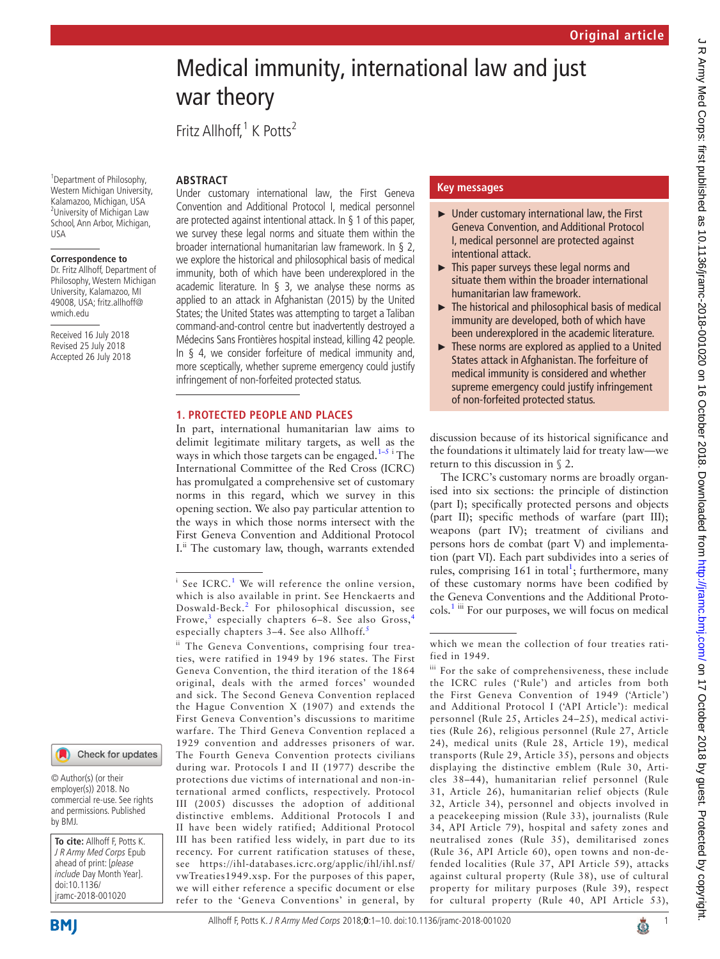# Medical immunity, international law and just war theory

Fritz Allhoff,<sup>1</sup> K Potts<sup>2</sup>

# **ARSTRACT**

<sup>1</sup> Department of Philosophy, Western Michigan University, Kalamazoo, Michigan, USA <sup>2</sup>University of Michigan Law School, Ann Arbor, Michigan, USA

#### **Correspondence to**

Dr. Fritz Allhoff, Department of Philosophy, Western Michigan University, Kalamazoo, MI 49008, USA; fritz.allhoff@ wmich.edu

Received 16 July 2018 Revised 25 July 2018 Accepted 26 July 2018 Under customary international law, the First Geneva Convention and Additional Protocol I, medical personnel are protected against intentional attack. In § 1 of this paper, we survey these legal norms and situate them within the broader international humanitarian law framework. In § 2, we explore the historical and philosophical basis of medical immunity, both of which have been underexplored in the academic literature. In  $\S$  3, we analyse these norms as applied to an attack in Afghanistan (2015) by the United States; the United States was attempting to target a Taliban command-and-control centre but inadvertently destroyed a Médecins Sans Frontières hospital instead, killing 42 people. In § 4, we consider forfeiture of medical immunity and, more sceptically, whether supreme emergency could justify infringement of non-forfeited protected status.

#### **1. Protected people and places**

In part, international humanitarian law aims to delimit legitimate military targets, as well as the ways in which those targets can be engaged.<sup>1–5 i</sup> The International Committee of the Red Cross (ICRC) has promulgated a comprehensive set of customary norms in this regard, which we survey in this opening section. We also pay particular attention to the ways in which those norms intersect with the First Geneva Convention and Additional Protocol I.<sup>ii</sup> The customary law, though, warrants extended

ii The Geneva Conventions, comprising four treaties, were ratified in 1949 by 196 states. The First Geneva Convention, the third iteration of the 1864 original, deals with the armed forces' wounded and sick. The Second Geneva Convention replaced the Hague Convention X (1907) and extends the First Geneva Convention's discussions to maritime warfare. The Third Geneva Convention replaced a 1929 convention and addresses prisoners of war. The Fourth Geneva Convention protects civilians during war. Protocols I and II (1977) describe the protections due victims of international and non-international armed conflicts, respectively. Protocol III (2005) discusses the adoption of additional distinctive emblems. Additional Protocols I and II have been widely ratified; Additional Protocol III has been ratified less widely, in part due to its recency. For current ratification statuses of these, see [https://ihl-databases.icrc.org/applic/ihl/ihl.nsf/](https://ihl-databases.icrc.org/applic/ihl/ihl.nsf/vwTreaties1949.xsp.) [vwTreaties1949.xsp.](https://ihl-databases.icrc.org/applic/ihl/ihl.nsf/vwTreaties1949.xsp.) For the purposes of this paper, we will either reference a specific document or else refer to the 'Geneva Conventions' in general, by

# **Key messages**

- ► Under customary international law, the First Geneva Convention, and Additional Protocol I, medical personnel are protected against intentional attack.
- ► This paper surveys these legal norms and situate them within the broader international humanitarian law framework.
- ► The historical and philosophical basis of medical immunity are developed, both of which have been underexplored in the academic literature.
- ► These norms are explored as applied to a United States attack in Afghanistan. The forfeiture of medical immunity is considered and whether supreme emergency could justify infringement of non-forfeited protected status.

discussion because of its historical significance and the foundations it ultimately laid for treaty law—we return to this discussion in § 2.

The ICRC's customary norms are broadly organised into six sections: the principle of distinction (part I); specifically protected persons and objects (part II); specific methods of warfare (part III); weapons (part IV); treatment of civilians and persons hors de combat (part V) and implementation (part VI). Each part subdivides into a series of rules, comprising  $161$  $161$  in total<sup>1</sup>; furthermore, many of these customary norms have been codified by the Geneva Conventions and the Additional Protocols.<sup>1 iii</sup> For our purposes, we will focus on medical

iii For the sake of comprehensiveness, these include the ICRC rules ('Rule') and articles from both the First Geneva Convention of 1949 ('Article') and Additional Protocol I ('API Article'): medical personnel (Rule 25, Articles 24–25), medical activities (Rule 26), religious personnel (Rule 27, Article 24), medical units (Rule 28, Article 19), medical transports (Rule 29, Article 35), persons and objects displaying the distinctive emblem (Rule 30, Articles 38–44), humanitarian relief personnel (Rule 31, Article 26), humanitarian relief objects (Rule 32, Article 34), personnel and objects involved in a peacekeeping mission (Rule 33), journalists (Rule 34, API Article 79), hospital and safety zones and neutralised zones (Rule 35), demilitarised zones (Rule 36, API Article 60), open towns and non-defended localities (Rule 37, API Article 59), attacks against cultural property (Rule 38), use of cultural property for military purposes (Rule 39), respect for cultural property (Rule 40, API Article 53),



© Author(s) (or their employer(s)) 2018. No commercial re-use. See rights and permissions. Published by BMJ.

**To cite:** Allhoff F, Potts K. J R Army Med Corps Epub ahead of print: [please include Day Month Year]. doi:10.1136/ jramc-2018-001020





 $\overline{a}$  See ICRC.<sup>[1](#page-9-0)</sup> We will reference the online version, which is also available in print. See Henckaerts and Doswald-Beck.[2](#page-9-1) For philosophical discussion, see Frowe,<sup>[3](#page-9-2)</sup> especially chapters 6–8. See also Gross,<sup>[4](#page-9-3)</sup> especially chapters 3-4. See also Allhoff.<sup>[5](#page-9-4)</sup>

which we mean the collection of four treaties ratified in 1949.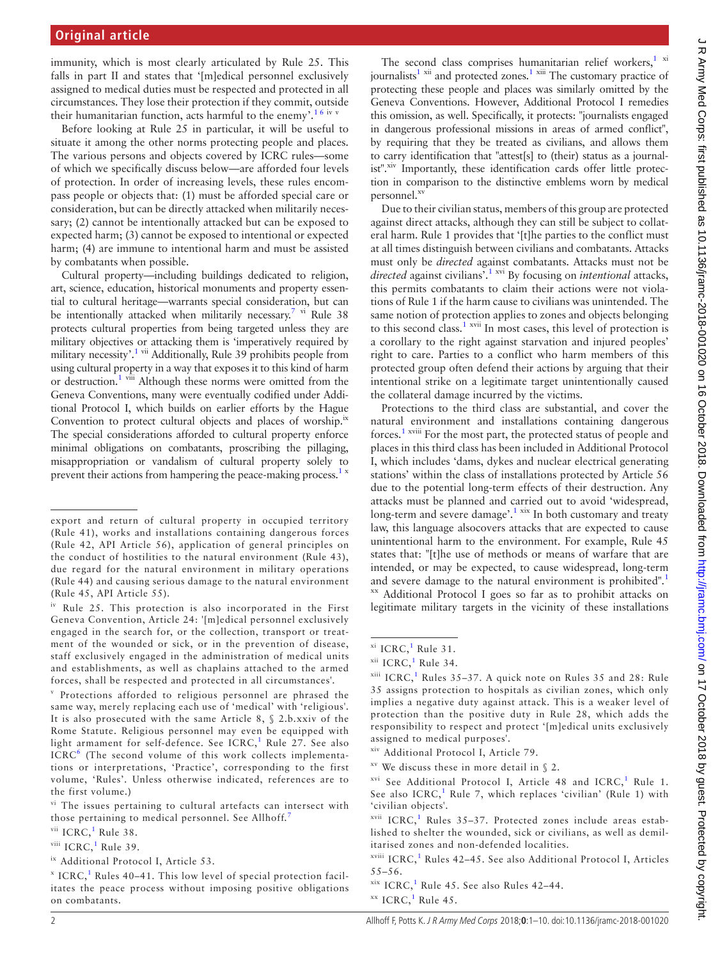immunity, which is most clearly articulated by Rule 25. This falls in part II and states that '[m]edical personnel exclusively assigned to medical duties must be respected and protected in all circumstances. They lose their protection if they commit, outside their humanitarian function, acts harmful to the enemy'.<sup>16 iv</sup> v

Before looking at Rule 25 in particular, it will be useful to situate it among the other norms protecting people and places. The various persons and objects covered by ICRC rules—some of which we specifically discuss below—are afforded four levels of protection. In order of increasing levels, these rules encompass people or objects that: (1) must be afforded special care or consideration, but can be directly attacked when militarily necessary; (2) cannot be intentionally attacked but can be exposed to expected harm; (3) cannot be exposed to intentional or expected harm; (4) are immune to intentional harm and must be assisted by combatants when possible.

Cultural property—including buildings dedicated to religion, art, science, education, historical monuments and property essential to cultural heritage—warrants special consideration, but can be intentionally attacked when militarily necessary.<sup>7 vi</sup> Rule 38 protects cultural properties from being targeted unless they are military objectives or attacking them is 'imperatively required by military necessity'.<sup>1 vii</sup> Additionally, Rule 39 prohibits people from using cultural property in a way that exposes it to this kind of harm or destruction.<sup>[1](#page-9-0) viii</sup> Although these norms were omitted from the Geneva Conventions, many were eventually codified under Additional Protocol I, which builds on earlier efforts by the Hague Convention to protect cultural objects and places of worship.<sup>ix</sup> The special considerations afforded to cultural property enforce minimal obligations on combatants, proscribing the pillaging, misappropriation or vandalism of cultural property solely to prevent their actions from hampering the peace-making process.<sup>1 x</sup>

export and return of cultural property in occupied territory (Rule 41), works and installations containing dangerous forces (Rule 42, API Article 56), application of general principles on the conduct of hostilities to the natural environment (Rule 43), due regard for the natural environment in military operations (Rule 44) and causing serious damage to the natural environment (Rule 45, API Article 55).

The second class comprises humanitarian relief workers,<sup>1 xi</sup> journalists<sup>[1](#page-9-0) xii</sup> and protected zones.<sup>1</sup> xiii The customary practice of protecting these people and places was similarly omitted by the Geneva Conventions. However, Additional Protocol I remedies this omission, as well. Specifically, it protects: "journalists engaged in dangerous professional missions in areas of armed conflict", by requiring that they be treated as civilians, and allows them to carry identification that "attest[s] to (their) status as a journalist".<sup>xiv</sup> Importantly, these identification cards offer little protection in comparison to the distinctive emblems worn by medical personnel.xv

Due to their civilian status, members of this group are protected against direct attacks, although they can still be subject to collateral harm. Rule 1 provides that '[t]he parties to the conflict must at all times distinguish between civilians and combatants. Attacks must only be *directed* against combatants. Attacks must not be *directed* against civilians'[.1](#page-9-0) xvi By focusing on *intentional* attacks, this permits combatants to claim their actions were not violations of Rule 1 if the harm cause to civilians was unintended. The same notion of protection applies to zones and objects belonging to this second class.<sup>[1](#page-9-0)</sup> xvii In most cases, this level of protection is a corollary to the right against starvation and injured peoples' right to care. Parties to a conflict who harm members of this protected group often defend their actions by arguing that their intentional strike on a legitimate target unintentionally caused the collateral damage incurred by the victims.

Protections to the third class are substantial, and cover the natural environment and installations containing dangerous forces.<sup>1 xviii</sup> For the most part, the protected status of people and places in this third class has been included in Additional Protocol I, which includes 'dams, dykes and nuclear electrical generating stations' within the class of installations protected by Article 56 due to the potential long-term effects of their destruction. Any attacks must be planned and carried out to avoid 'widespread, long-term and severe damage'.<sup>[1](#page-9-0)</sup> xix In both customary and treaty law, this language alsocovers attacks that are expected to cause unintentional harm to the environment. For example, Rule 45 states that: "[t]he use of methods or means of warfare that are intended, or may be expected, to cause widespread, long-term and severe damage to the natural environment is prohibited".<sup>[1](#page-9-0)</sup>  $\frac{xx}{x}$  Additional Protocol I goes so far as to prohibit attacks on legitimate military targets in the vicinity of these installations

 $\frac{x}{x}$  ICRC,<sup>[1](#page-9-0)</sup> Rule 45. See also Rules 42–44.

iv Rule 25. This protection is also incorporated in the First Geneva Convention, Article 24: '[m]edical personnel exclusively engaged in the search for, or the collection, transport or treatment of the wounded or sick, or in the prevention of disease, staff exclusively engaged in the administration of medical units and establishments, as well as chaplains attached to the armed forces, shall be respected and protected in all circumstances'.

v Protections afforded to religious personnel are phrased the same way, merely replacing each use of 'medical' with 'religious'. It is also prosecuted with the same Article 8, § 2.b.xxiv of the Rome Statute. Religious personnel may even be equipped with light armament for self-defence. See ICRC, $^1$  $^1$  Rule 27. See also ICRC<sup>[6](#page-9-6)</sup> (The second volume of this work collects implementations or interpretations, 'Practice', corresponding to the first volume, 'Rules'. Unless otherwise indicated, references are to the first volume.)

<sup>&</sup>lt;sup>vi</sup> The issues pertaining to cultural artefacts can intersect with those pertaining to medical personnel. See Allhoff.<sup>[7](#page-9-5)</sup>

<sup>&</sup>lt;sup>vii</sup> ICRC,<sup>[1](#page-9-0)</sup> Rule 38.

<sup>&</sup>lt;sup>viii</sup> ICRC,<sup>[1](#page-9-0)</sup> Rule 39.

ix Additional Protocol I, Article 53.

 $^x$  ICRC,<sup>[1](#page-9-0)</sup> Rules 40–41. This low level of special protection facilitates the peace process without imposing positive obligations on combatants.

 $\rm{^{xi}}$  ICRC, $\rm{^1}$  $\rm{^1}$  $\rm{^1}$  Rule 31.

 $\frac{xii}{2}$  ICRC, $\frac{1}{2}$  $\frac{1}{2}$  $\frac{1}{2}$  Rule 34.

 $x^{iii}$  ICRC,<sup>[1](#page-9-0)</sup> Rules 35–37. A quick note on Rules 35 and 28: Rule 35 assigns protection to hospitals as civilian zones, which only implies a negative duty against attack. This is a weaker level of protection than the positive duty in Rule 28, which adds the responsibility to respect and protect '[m]edical units exclusively assigned to medical purposes'.

xiv Additional Protocol I, Article 79.

 $xv$  We discuss these in more detail in § 2.

<sup>&</sup>lt;sup>xvi</sup> See Additional Protocol I, Article 48 and ICRC,<sup>[1](#page-9-0)</sup> Rule 1. See also ICRC,<sup>[1](#page-9-0)</sup> Rule 7, which replaces 'civilian' (Rule 1) with 'civilian objects'.

<sup>&</sup>lt;sup>xvii</sup> ICRC,<sup>[1](#page-9-0)</sup> Rules 35-37. Protected zones include areas established to shelter the wounded, sick or civilians, as well as demilitarised zones and non-defended localities.

 $x$ <sup>viii</sup> ICRC,<sup>[1](#page-9-0)</sup> Rules 42–45. See also Additional Protocol I, Articles 55–56.

 $\rm{X}$ x ICRC,<sup>[1](#page-9-0)</sup> Rule 45.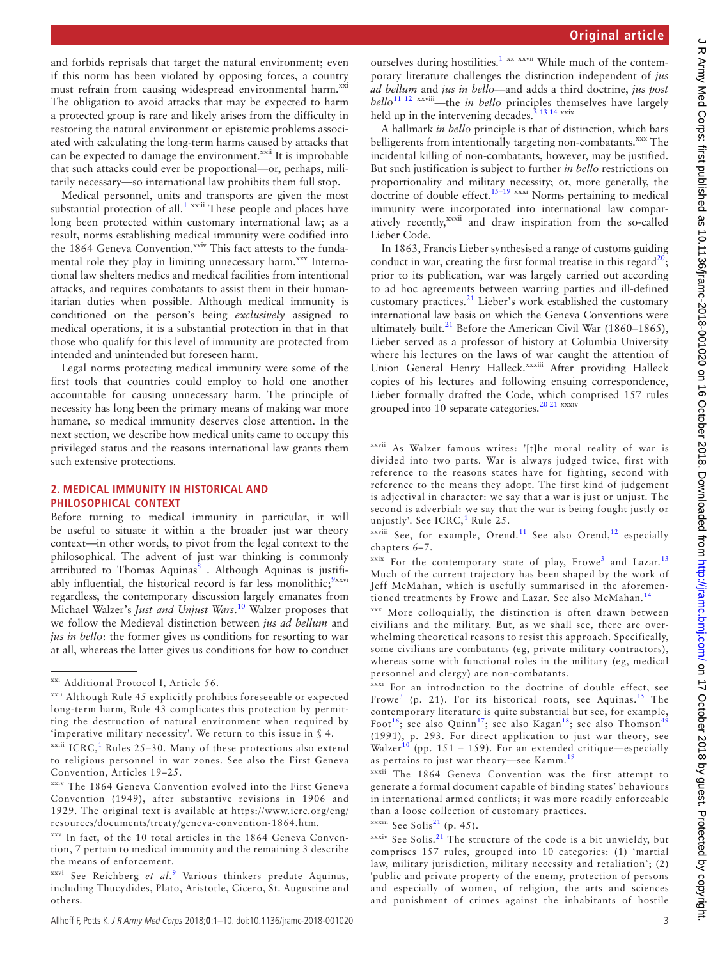and forbids reprisals that target the natural environment; even if this norm has been violated by opposing forces, a country must refrain from causing widespread environmental harm.<sup>xxi</sup> The obligation to avoid attacks that may be expected to harm a protected group is rare and likely arises from the difficulty in restoring the natural environment or epistemic problems associated with calculating the long-term harms caused by attacks that can be expected to damage the environment.<sup>xxii</sup> It is improbable that such attacks could ever be proportional—or, perhaps, militarily necessary—so international law prohibits them full stop.

Medical personnel, units and transports are given the most substantial protection of all. $1$ <sup>xxiii</sup> These people and places have long been protected within customary international law; as a result, norms establishing medical immunity were codified into the 1864 Geneva Convention.<sup>xxiv</sup> This fact attests to the fundamental role they play in limiting unnecessary harm.<sup>xxv</sup> International law shelters medics and medical facilities from intentional attacks, and requires combatants to assist them in their humanitarian duties when possible. Although medical immunity is conditioned on the person's being *exclusively* assigned to medical operations, it is a substantial protection in that in that those who qualify for this level of immunity are protected from intended and unintended but foreseen harm.

Legal norms protecting medical immunity were some of the first tools that countries could employ to hold one another accountable for causing unnecessary harm. The principle of necessity has long been the primary means of making war more humane, so medical immunity deserves close attention. In the next section, we describe how medical units came to occupy this privileged status and the reasons international law grants them such extensive protections.

#### **2. Medical immunity in historical and philosophical context**

Before turning to medical immunity in particular, it will be useful to situate it within a the broader just war theory context—in other words, to pivot from the legal context to the philosophical. The advent of just war thinking is commonly attributed to Thomas Aquinas<sup>8</sup>. Although Aquinas is justifiably influential, the historical record is far less monolithic;<sup>9xxvi</sup> regardless, the contemporary discussion largely emanates from Michael Walzer's *Just and Unjust Wars*. [10](#page-9-9) Walzer proposes that we follow the Medieval distinction between *jus ad bellum* and *jus in bello*: the former gives us conditions for resorting to war at all, whereas the latter gives us conditions for how to conduct

ourselves during hostilities.<sup>[1](#page-9-0)</sup> xx xxvii While much of the contemporary literature challenges the distinction independent of *jus ad bellum* and *jus in bello*—and adds a third doctrine, *jus post bello*[11 12](#page-9-10) xxviii—the *in bello* principles themselves have largely held up in the intervening decades.<sup>3</sup> <sup>13</sup> <sup>14</sup> xxix</sup>

A hallmark *in bello* principle is that of distinction, which bars belligerents from intentionally targeting non-combatants.<sup>xxx</sup> The incidental killing of non-combatants, however, may be justified. But such justification is subject to further *in bello* restrictions on proportionality and military necessity; or, more generally, the doctrine of double effect.<sup>15–19</sup> xxxi Norms pertaining to medical immunity were incorporated into international law comparatively recently,<sup>xxxii</sup> and draw inspiration from the so-called Lieber Code.

In 1863, Francis Lieber synthesised a range of customs guiding conduct in war, creating the first formal treatise in this regard<sup>[20](#page-9-12)</sup>; prior to its publication, war was largely carried out according to ad hoc agreements between warring parties and ill-defined customary practices. $^{21}$  Lieber's work established the customary international law basis on which the Geneva Conventions were ultimately built.<sup>21</sup> Before the American Civil War (1860–1865), Lieber served as a professor of history at Columbia University where his lectures on the laws of war caught the attention of Union General Henry Halleck.xxxiii After providing Halleck copies of his lectures and following ensuing correspondence, Lieber formally drafted the Code, which comprised 157 rules grouped into 10 separate categories.<sup>[20 21](#page-9-12)</sup> xxxiv

xxxi For an introduction to the doctrine of double effect, see Frowe<sup>[3](#page-9-2)</sup> (p. 21). For its historical roots, see Aquinas.<sup>15</sup> The contemporary literature is quite substantial but see, for example, Foot<sup>16</sup>; see also Quinn<sup>[17](#page-9-18)</sup>; see also Kagan<sup>[18](#page-9-19)</sup>; see also Thomson<sup>[49](#page-9-20)</sup> (1991), p. 293. For direct application to just war theory, see Walzer<sup>[10](#page-9-9)</sup> (pp. 151 – 159). For an extended critique—especially as pertains to just war theory-see Kamm.<sup>1</sup>

xxxii The 1864 Geneva Convention was the first attempt to generate a formal document capable of binding states' behaviours in international armed conflicts; it was more readily enforceable than a loose collection of customary practices.

xxi Additional Protocol I, Article 56.

xxii Although Rule 45 explicitly prohibits foreseeable or expected long-term harm, Rule 43 complicates this protection by permitting the destruction of natural environment when required by 'imperative military necessity'. We return to this issue in § 4.

<sup>&</sup>lt;sup>xxiii</sup> ICRC,<sup>[1](#page-9-0)</sup> Rules 25-30. Many of these protections also extend to religious personnel in war zones. See also the First Geneva Convention, Articles 19–25.

<sup>&</sup>lt;sup>xxiv</sup> The 1864 Geneva Convention evolved into the First Geneva Convention (1949), after substantive revisions in 1906 and 1929. The original text is available at [https://www.icrc.org/eng/](https://www.icrc.org/eng/resources/documents/treaty/geneva-convention-1864.htm.) [resources/documents/treaty/geneva-convention-1864.htm.](https://www.icrc.org/eng/resources/documents/treaty/geneva-convention-1864.htm.)

xxv In fact, of the 10 total articles in the 1864 Geneva Convention, 7 pertain to medical immunity and the remaining 3 describe the means of enforcement.

xxvi See Reichberg *et al*. [9](#page-9-8) Various thinkers predate Aquinas, including Thucydides, Plato, Aristotle, Cicero, St. Augustine and others.

xxvii As Walzer famous writes: '[t]he moral reality of war is divided into two parts. War is always judged twice, first with reference to the reasons states have for fighting, second with reference to the means they adopt. The first kind of judgement is adjectival in character: we say that a war is just or unjust. The second is adverbial: we say that the war is being fought justly or unjustly'. See ICRC,<sup>[1](#page-9-0)</sup> Rule 25.

 $x$ xviii See, for example, Orend.<sup>[11](#page-9-10)</sup> See also Orend,<sup>12</sup> especially chapters 6–7.

 $\frac{x}{x}$  For the contemporary state of play, Frowe<sup>[3](#page-9-2)</sup> and Lazar.<sup>[13](#page-9-15)</sup> Much of the current trajectory has been shaped by the work of Jeff McMahan, which is usefully summarised in the aforemen-tioned treatments by Frowe and Lazar. See also McMahan.<sup>[14](#page-9-16)</sup>

xxx More colloquially, the distinction is often drawn between civilians and the military. But, as we shall see, there are overwhelming theoretical reasons to resist this approach. Specifically, some civilians are combatants (eg, private military contractors), whereas some with functional roles in the military (eg, medical personnel and clergy) are non-combatants.

 $x$ <sup>xxxiii</sup> See Solis<sup>[21](#page-9-13)</sup> (p. 45).

 $xxxiv$  See Solis.<sup>[21](#page-9-13)</sup> The structure of the code is a bit unwieldy, but comprises 157 rules, grouped into 10 categories: (1) 'martial law, military jurisdiction, military necessity and retaliation'; (2) 'public and private property of the enemy, protection of persons and especially of women, of religion, the arts and sciences and punishment of crimes against the inhabitants of hostile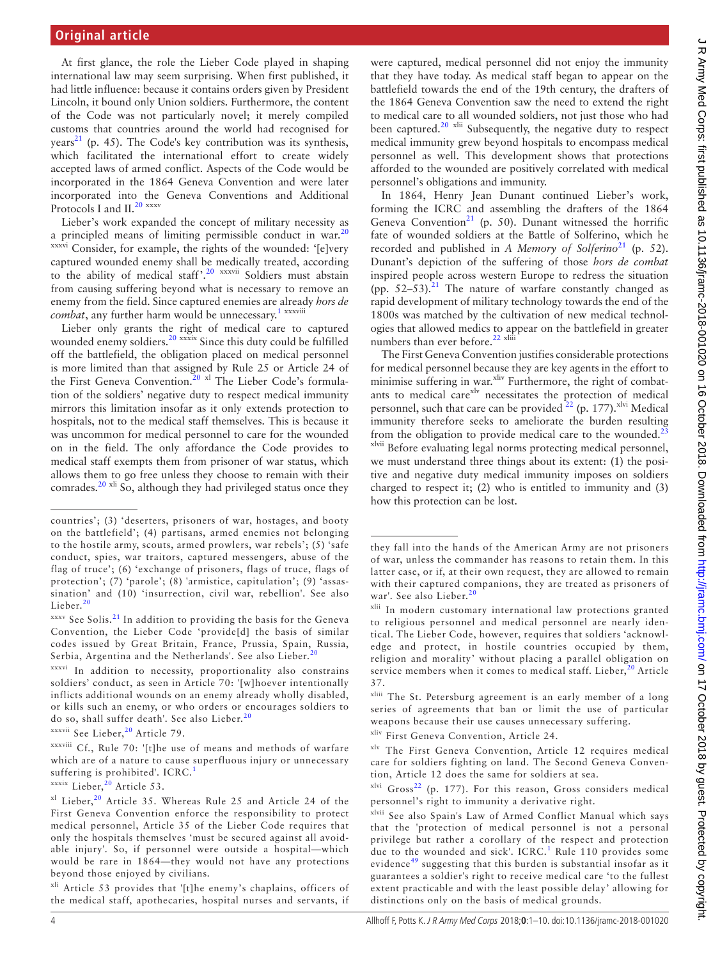At first glance, the role the Lieber Code played in shaping international law may seem surprising. When first published, it had little influence: because it contains orders given by President Lincoln, it bound only Union soldiers. Furthermore, the content of the Code was not particularly novel; it merely compiled customs that countries around the world had recognised for  $years<sup>21</sup>$  $years<sup>21</sup>$  $years<sup>21</sup>$  (p. 45). The Code's key contribution was its synthesis, which facilitated the international effort to create widely accepted laws of armed conflict. Aspects of the Code would be incorporated in the 1864 Geneva Convention and were later incorporated into the Geneva Conventions and Additional Protocols I and II.<sup>[20](#page-9-12)</sup> xxxv

Lieber's work expanded the concept of military necessity as a principled means of limiting permissible conduct in war. $^{20}$  $^{20}$  $^{20}$ xxxvi Consider, for example, the rights of the wounded: '[e]very captured wounded enemy shall be medically treated, according to the ability of medical staff<sup>'.[20](#page-9-12)</sup> xxxvii Soldiers must abstain from causing suffering beyond what is necessary to remove an enemy from the field. Since captured enemies are already *hors de combat*, any further harm would be unnecessary.<sup>[1](#page-9-0)</sup> xxxviii

Lieber only grants the right of medical care to captured wounded enemy soldiers.<sup>[20](#page-9-12)</sup> xxxix Since this duty could be fulfilled off the battlefield, the obligation placed on medical personnel is more limited than that assigned by Rule 25 or Article 24 of the First Geneva Convention.<sup>[20](#page-9-12) xl</sup> The Lieber Code's formulation of the soldiers' negative duty to respect medical immunity mirrors this limitation insofar as it only extends protection to hospitals, not to the medical staff themselves. This is because it was uncommon for medical personnel to care for the wounded on in the field. The only affordance the Code provides to medical staff exempts them from prisoner of war status, which allows them to go free unless they choose to remain with their comrades.<sup>20 xli</sup> So, although they had privileged status once they

xli Article 53 provides that '[t]he enemy's chaplains, officers of the medical staff, apothecaries, hospital nurses and servants, if

were captured, medical personnel did not enjoy the immunity that they have today. As medical staff began to appear on the battlefield towards the end of the 19th century, the drafters of the 1864 Geneva Convention saw the need to extend the right to medical care to all wounded soldiers, not just those who had been captured.<sup>[20](#page-9-12) xlii</sup> Subsequently, the negative duty to respect medical immunity grew beyond hospitals to encompass medical personnel as well. This development shows that protections afforded to the wounded are positively correlated with medical personnel's obligations and immunity.

In 1864, Henry Jean Dunant continued Lieber's work, forming the ICRC and assembling the drafters of the 1864 Geneva Convention<sup>[21](#page-9-13)</sup> (p. 50). Dunant witnessed the horrific fate of wounded soldiers at the Battle of Solferino, which he recorded and published in *A Memory of Solferino*<sup>[21](#page-9-13)</sup> (p. 52). Dunant's depiction of the suffering of those *hors de combat* inspired people across western Europe to redress the situation (pp.  $52-53$ ).<sup>21</sup> The nature of warfare constantly changed as rapid development of military technology towards the end of the 1800s was matched by the cultivation of new medical technologies that allowed medics to appear on the battlefield in greater numbers than ever before.<sup>[22](#page-9-22) xlii</sup>

The First Geneva Convention justifies considerable protections for medical personnel because they are key agents in the effort to minimise suffering in war.xliv Furthermore, the right of combatants to medical care<sup>xlv</sup> necessitates the protection of medical personnel, such that care can be provided<sup>22</sup> (p. 177).<sup>xlvi</sup> Medical immunity therefore seeks to ameliorate the burden resulting from the obligation to provide medical care to the wounded. $^{23}$  $^{23}$  $^{23}$ xlvii Before evaluating legal norms protecting medical personnel, we must understand three things about its extent: (1) the positive and negative duty medical immunity imposes on soldiers charged to respect it; (2) who is entitled to immunity and (3) how this protection can be lost.

countries'; (3) 'deserters, prisoners of war, hostages, and booty on the battlefield'; (4) partisans, armed enemies not belonging to the hostile army, scouts, armed prowlers, war rebels'; (5) 'safe conduct, spies, war traitors, captured messengers, abuse of the flag of truce'; (6) 'exchange of prisoners, flags of truce, flags of protection'; (7) 'parole'; (8) 'armistice, capitulation'; (9) 'assassination' and (10) 'insurrection, civil war, rebellion'. See also Lieber.<sup>[20](#page-9-12)</sup>

 $xxxv$  See Solis.<sup>21</sup> In addition to providing the basis for the Geneva Convention, the Lieber Code 'provide[d] the basis of similar codes issued by Great Britain, France, Prussia, Spain, Russia, Serbia, Argentina and the Netherlands'. See also Lieber.<sup>[20](#page-9-12)</sup>

xxxvi In addition to necessity, proportionality also constrains soldiers' conduct, as seen in Article 70: '[w]hoever intentionally inflicts additional wounds on an enemy already wholly disabled, or kills such an enemy, or who orders or encourages soldiers to do so, shall suffer death'. See also Lieber.<sup>[20](#page-9-12)</sup>

xxxvii See Lieber,<sup>20</sup> Article 79.

xxxviii Cf., Rule 70: '[t]he use of means and methods of warfare which are of a nature to cause superfluous injury or unnecessary suffering is prohibited'. ICRC.<sup>[1](#page-9-0)</sup>

 $x$ xxix Lieber,  $20$  Article 53.

 $x<sup>1</sup>$  Lieber,<sup>[20](#page-9-12)</sup> Article 35. Whereas Rule 25 and Article 24 of the First Geneva Convention enforce the responsibility to protect medical personnel, Article 35 of the Lieber Code requires that only the hospitals themselves 'must be secured against all avoidable injury'. So, if personnel were outside a hospital—which would be rare in 1864—they would not have any protections beyond those enjoyed by civilians.

they fall into the hands of the American Army are not prisoners of war, unless the commander has reasons to retain them. In this latter case, or if, at their own request, they are allowed to remain with their captured companions, they are treated as prisoners of war'. See also Lieber.<sup>[20](#page-9-12)</sup>

xlii In modern customary international law protections granted to religious personnel and medical personnel are nearly identical. The Lieber Code, however, requires that soldiers 'acknowledge and protect, in hostile countries occupied by them, religion and morality' without placing a parallel obligation on service members when it comes to medical staff. Lieber, $20$  Article 37.

xliii The St. Petersburg agreement is an early member of a long series of agreements that ban or limit the use of particular weapons because their use causes unnecessary suffering.

xliv First Geneva Convention, Article 24.

xlv The First Geneva Convention, Article 12 requires medical care for soldiers fighting on land. The Second Geneva Convention, Article 12 does the same for soldiers at sea.

 $x$ lvi Gross<sup>[22](#page-9-22)</sup> (p. 177). For this reason, Gross considers medical personnel's right to immunity a derivative right.

xlvii See also Spain's Law of Armed Conflict Manual which says that the 'protection of medical personnel is not a personal privilege but rather a corollary of the respect and protection due to the wounded and sick'. ICRC.<sup>[1](#page-9-0)</sup> Rule 110 provides some evidence<sup>[49](#page-9-20)</sup> suggesting that this burden is substantial insofar as it guarantees a soldier's right to receive medical care 'to the fullest extent practicable and with the least possible delay' allowing for distinctions only on the basis of medical grounds.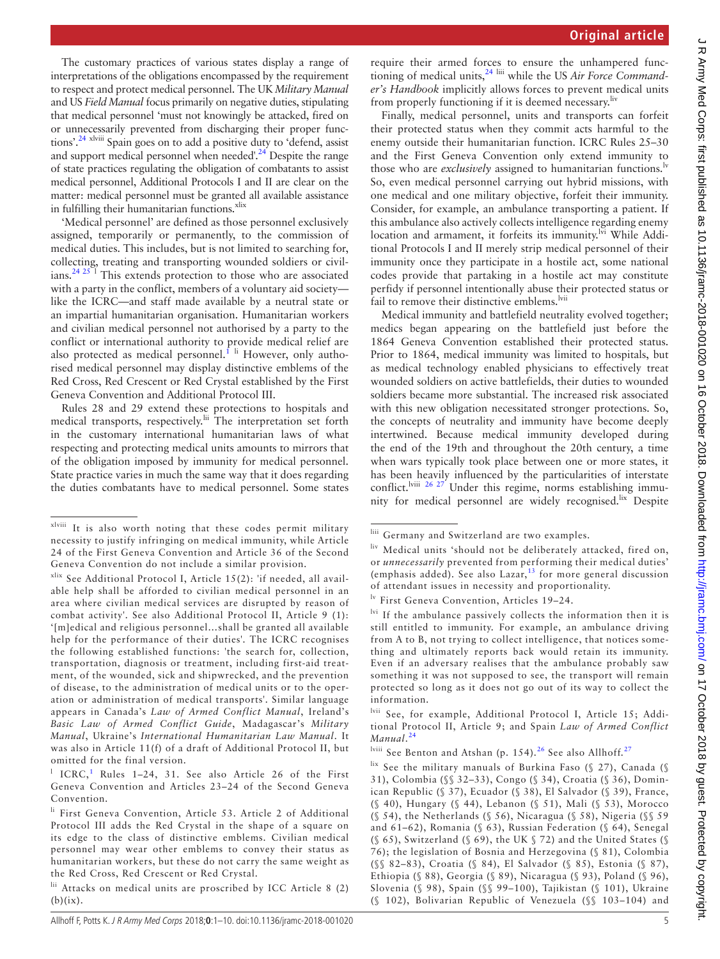The customary practices of various states display a range of interpretations of the obligations encompassed by the requirement to respect and protect medical personnel. The UK *Military Manual* and US *Field Manual* focus primarily on negative duties, stipulating that medical personnel 'must not knowingly be attacked, fired on or unnecessarily prevented from discharging their proper functions'.[24](#page-9-24) xlviii Spain goes on to add a positive duty to 'defend, assist and support medical personnel when needed'. $^{24}$  $^{24}$  $^{24}$  Despite the range of state practices regulating the obligation of combatants to assist medical personnel, Additional Protocols I and II are clear on the matter: medical personnel must be granted all available assistance in fulfilling their humanitarian functions.<sup>xlix</sup>

'Medical personnel' are defined as those personnel exclusively assigned, temporarily or permanently, to the commission of medical duties. This includes, but is not limited to searching for, collecting, treating and transporting wounded soldiers or civil-ians.<sup>[24 25](#page-9-24)</sup> <sup>1</sup> This extends protection to those who are associated with a party in the conflict, members of a voluntary aid society like the ICRC—and staff made available by a neutral state or an impartial humanitarian organisation. Humanitarian workers and civilian medical personnel not authorised by a party to the conflict or international authority to provide medical relief are also protected as medical personnel.<sup>[1](#page-9-0)</sup> <sup>li</sup> However, only authorised medical personnel may display distinctive emblems of the Red Cross, Red Crescent or Red Crystal established by the First Geneva Convention and Additional Protocol III.

Rules 28 and 29 extend these protections to hospitals and medical transports, respectively.<sup>lii</sup> The interpretation set forth in the customary international humanitarian laws of what respecting and protecting medical units amounts to mirrors that of the obligation imposed by immunity for medical personnel. State practice varies in much the same way that it does regarding the duties combatants have to medical personnel. Some states

require their armed forces to ensure the unhampered functioning of medical units,[24](#page-9-24) liii while the US *Air Force Commander's Handbook* implicitly allows forces to prevent medical units from properly functioning if it is deemed necessary.<sup>liv</sup>

Finally, medical personnel, units and transports can forfeit their protected status when they commit acts harmful to the enemy outside their humanitarian function. ICRC Rules 25–30 and the First Geneva Convention only extend immunity to those who are *exclusively* assigned to humanitarian functions.<sup> $\nu$ </sup> So, even medical personnel carrying out hybrid missions, with one medical and one military objective, forfeit their immunity. Consider, for example, an ambulance transporting a patient. If this ambulance also actively collects intelligence regarding enemy location and armament, it forfeits its immunity.<sup>Ivi</sup> While Additional Protocols I and II merely strip medical personnel of their immunity once they participate in a hostile act, some national codes provide that partaking in a hostile act may constitute perfidy if personnel intentionally abuse their protected status or fail to remove their distinctive emblems.<sup>lvii</sup>

Medical immunity and battlefield neutrality evolved together; medics began appearing on the battlefield just before the 1864 Geneva Convention established their protected status. Prior to 1864, medical immunity was limited to hospitals, but as medical technology enabled physicians to effectively treat wounded soldiers on active battlefields, their duties to wounded soldiers became more substantial. The increased risk associated with this new obligation necessitated stronger protections. So, the concepts of neutrality and immunity have become deeply intertwined. Because medical immunity developed during the end of the 19th and throughout the 20th century, a time when wars typically took place between one or more states, it has been heavily influenced by the particularities of interstate conflict.<sup>lviii</sup> <sup>26 27</sup> Under this regime, norms establishing immunity for medical personnel are widely recognised.<sup>lix</sup> Despite

xlviii It is also worth noting that these codes permit military necessity to justify infringing on medical immunity, while Article 24 of the First Geneva Convention and Article 36 of the Second Geneva Convention do not include a similar provision.

 $x$ lix See Additional Protocol I, Article 15(2): 'if needed, all available help shall be afforded to civilian medical personnel in an area where civilian medical services are disrupted by reason of combat activity'. See also Additional Protocol II, Article 9 (1): '[m]edical and religious personnel…shall be granted all available help for the performance of their duties'. The ICRC recognises the following established functions: 'the search for, collection, transportation, diagnosis or treatment, including first-aid treatment, of the wounded, sick and shipwrecked, and the prevention of disease, to the administration of medical units or to the operation or administration of medical transports'. Similar language appears in Canada's *Law of Armed Conflict Manual*, Ireland's *Basic Law of Armed Conflict Guide*, Madagascar's *Military Manual*, Ukraine's *International Humanitarian Law Manual*. It was also in Article 11(f) of a draft of Additional Protocol II, but omitted for the final version.

<sup>&</sup>lt;sup>[1](#page-9-0)</sup> ICRC,<sup>1</sup> Rules 1-24, 31. See also Article 26 of the First Geneva Convention and Articles 23–24 of the Second Geneva Convention.

<sup>&</sup>lt;sup>li</sup> First Geneva Convention, Article 53. Article 2 of Additional Protocol III adds the Red Crystal in the shape of a square on its edge to the class of distinctive emblems. Civilian medical personnel may wear other emblems to convey their status as humanitarian workers, but these do not carry the same weight as the Red Cross, Red Crescent or Red Crystal.

lii Attacks on medical units are proscribed by ICC Article 8 (2)  $(b)(ix)$ .

liii Germany and Switzerland are two examples.

liv Medical units 'should not be deliberately attacked, fired on, or *unnecessarily* prevented from performing their medical duties' (emphasis added). See also Lazar,<sup>[13](#page-9-15)</sup> for more general discussion of attendant issues in necessity and proportionality.

lv First Geneva Convention, Articles 19–24.

lvi If the ambulance passively collects the information then it is still entitled to immunity. For example, an ambulance driving from A to B, not trying to collect intelligence, that notices something and ultimately reports back would retain its immunity. Even if an adversary realises that the ambulance probably saw something it was not supposed to see, the transport will remain protected so long as it does not go out of its way to collect the information.

lvii See, for example, Additional Protocol I, Article 15; Additional Protocol II, Article 9; and Spain *Law of Armed Conflict Manual*. [24](#page-9-24)

lviii See Benton and Atshan (p. 154).<sup>26</sup> See also Allhoff.<sup>27</sup>

lix See the military manuals of Burkina Faso (§ 27), Canada (§ 31), Colombia (§§ 32–33), Congo (§ 34), Croatia (§ 36), Dominican Republic (§ 37), Ecuador (§ 38), El Salvador (§ 39), France, (§ 40), Hungary (§ 44), Lebanon (§ 51), Mali (§ 53), Morocco (§ 54), the Netherlands (§ 56), Nicaragua (§ 58), Nigeria (§§ 59 and 61–62), Romania (§ 63), Russian Federation (§ 64), Senegal (§ 65), Switzerland (§ 69), the UK § 72) and the United States (§ 76); the legislation of Bosnia and Herzegovina (§ 81), Colombia (§§ 82–83), Croatia (§ 84), El Salvador (§ 85), Estonia (§ 87), Ethiopia (§ 88), Georgia (§ 89), Nicaragua (§ 93), Poland (§ 96), Slovenia (§ 98), Spain (§§ 99–100), Tajikistan (§ 101), Ukraine (§ 102), Bolivarian Republic of Venezuela (§§ 103–104) and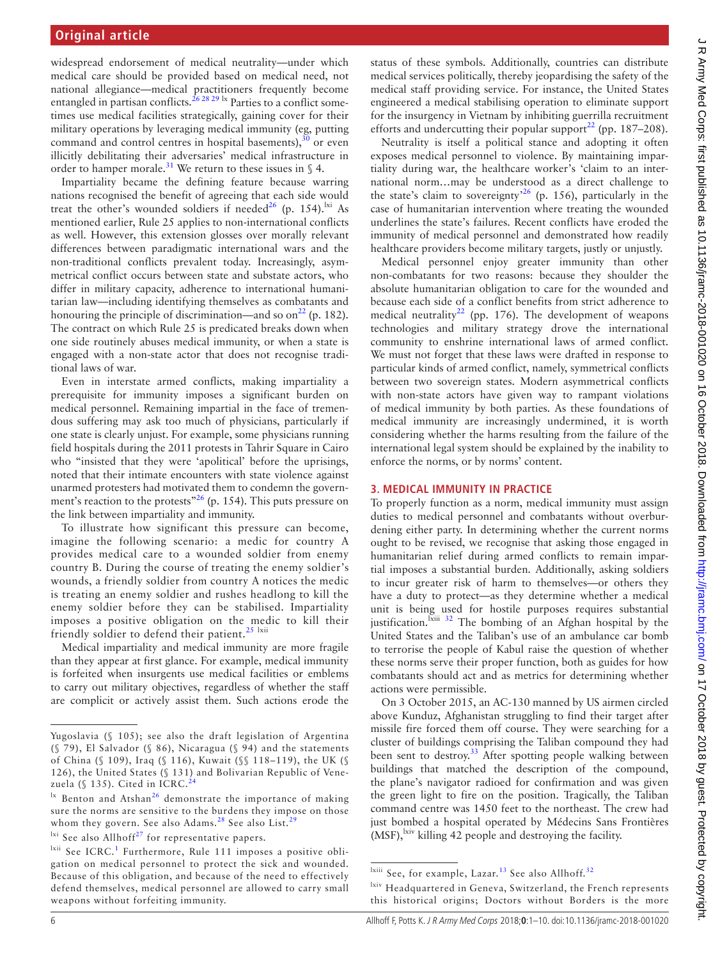widespread endorsement of medical neutrality—under which medical care should be provided based on medical need, not national allegiance—medical practitioners frequently become entangled in partisan conflicts.<sup>[26 28 29](#page-9-25)</sup>  $\frac{1}{2}$  Parties to a conflict sometimes use medical facilities strategically, gaining cover for their military operations by leveraging medical immunity (eg, putting command and control centres in hospital basements), $30$  or even illicitly debilitating their adversaries' medical infrastructure in order to hamper morale.<sup>31</sup> We return to these issues in  $\S$  4.

Impartiality became the defining feature because warring nations recognised the benefit of agreeing that each side would treat the other's wounded soldiers if needed<sup>26</sup> (p. 154).<sup>lxi</sup> As mentioned earlier, Rule 25 applies to non-international conflicts as well. However, this extension glosses over morally relevant differences between paradigmatic international wars and the non-traditional conflicts prevalent today. Increasingly, asymmetrical conflict occurs between state and substate actors, who differ in military capacity, adherence to international humanitarian law—including identifying themselves as combatants and honouring the principle of discrimination—and so on<sup>[22](#page-9-22)</sup> (p. 182). The contract on which Rule 25 is predicated breaks down when one side routinely abuses medical immunity, or when a state is engaged with a non-state actor that does not recognise traditional laws of war.

Even in interstate armed conflicts, making impartiality a prerequisite for immunity imposes a significant burden on medical personnel. Remaining impartial in the face of tremendous suffering may ask too much of physicians, particularly if one state is clearly unjust. For example, some physicians running field hospitals during the 2011 protests in Tahrir Square in Cairo who "insisted that they were 'apolitical' before the uprisings, noted that their intimate encounters with state violence against unarmed protesters had motivated them to condemn the government's reaction to the protests<sup> $26$ </sup> (p. 154). This puts pressure on the link between impartiality and immunity.

To illustrate how significant this pressure can become, imagine the following scenario: a medic for country A provides medical care to a wounded soldier from enemy country B. During the course of treating the enemy soldier's wounds, a friendly soldier from country A notices the medic is treating an enemy soldier and rushes headlong to kill the enemy soldier before they can be stabilised. Impartiality imposes a positive obligation on the medic to kill their friendly soldier to defend their patient.<sup>[25](#page-9-29)</sup> lxii

Medical impartiality and medical immunity are more fragile than they appear at first glance. For example, medical immunity is forfeited when insurgents use medical facilities or emblems to carry out military objectives, regardless of whether the staff are complicit or actively assist them. Such actions erode the

status of these symbols. Additionally, countries can distribute medical services politically, thereby jeopardising the safety of the medical staff providing service. For instance, the United States engineered a medical stabilising operation to eliminate support for the insurgency in Vietnam by inhibiting guerrilla recruitment efforts and undercutting their popular support<sup>[22](#page-9-22)</sup> (pp. 187–208).

Neutrality is itself a political stance and adopting it often exposes medical personnel to violence. By maintaining impartiality during war, the healthcare worker's 'claim to an international norm…may be understood as a direct challenge to the state's claim to sovereignty<sup> $26$ </sup> (p. 156), particularly in the case of humanitarian intervention where treating the wounded underlines the state's failures. Recent conflicts have eroded the immunity of medical personnel and demonstrated how readily healthcare providers become military targets, justly or unjustly.

Medical personnel enjoy greater immunity than other non-combatants for two reasons: because they shoulder the absolute humanitarian obligation to care for the wounded and because each side of a conflict benefits from strict adherence to medical neutrality<sup>22</sup> (pp. 176). The development of weapons technologies and military strategy drove the international community to enshrine international laws of armed conflict. We must not forget that these laws were drafted in response to particular kinds of armed conflict, namely, symmetrical conflicts between two sovereign states. Modern asymmetrical conflicts with non-state actors have given way to rampant violations of medical immunity by both parties. As these foundations of medical immunity are increasingly undermined, it is worth considering whether the harms resulting from the failure of the international legal system should be explained by the inability to enforce the norms, or by norms' content.

#### **3. Medical immunity in practice**

To properly function as a norm, medical immunity must assign duties to medical personnel and combatants without overburdening either party. In determining whether the current norms ought to be revised, we recognise that asking those engaged in humanitarian relief during armed conflicts to remain impartial imposes a substantial burden. Additionally, asking soldiers to incur greater risk of harm to themselves—or others they have a duty to protect—as they determine whether a medical unit is being used for hostile purposes requires substantial justification.<sup>Ixiii 32</sup> The bombing of an Afghan hospital by the United States and the Taliban's use of an ambulance car bomb to terrorise the people of Kabul raise the question of whether these norms serve their proper function, both as guides for how combatants should act and as metrics for determining whether actions were permissible.

On 3 October 2015, an AC-130 manned by US airmen circled above Kunduz, Afghanistan struggling to find their target after missile fire forced them off course. They were searching for a cluster of buildings comprising the Taliban compound they had been sent to destroy.<sup>33</sup> After spotting people walking between buildings that matched the description of the compound, the plane's navigator radioed for confirmation and was given the green light to fire on the position. Tragically, the Taliban command centre was 1450 feet to the northeast. The crew had just bombed a hospital operated by Médecins Sans Frontières  $(MSF)$ , <sup>kiv</sup> killing 42 people and destroying the facility.

Yugoslavia (§ 105); see also the draft legislation of Argentina (§ 79), El Salvador (§ 86), Nicaragua (§ 94) and the statements of China (§ 109), Iraq (§ 116), Kuwait (§§ 118–119), the UK (§ 126), the United States (§ 131) and Bolivarian Republic of Venezuela (§ 135). Cited in ICRC. $^{24}$  $^{24}$  $^{24}$ 

 $\frac{1}{x}$  Benton and Atshan<sup>[26](#page-9-25)</sup> demonstrate the importance of making sure the norms are sensitive to the burdens they impose on those whom they govern. See also Adams.<sup>[28](#page-9-30)</sup> See also List.<sup>[29](#page-9-31)</sup>

 $\frac{1}{x}$  See also Allhoff<sup>27</sup> for representative papers.

<sup>&</sup>lt;sup>lxii</sup> See ICRC.<sup>[1](#page-9-0)</sup> Furthermore, Rule 111 imposes a positive obligation on medical personnel to protect the sick and wounded. Because of this obligation, and because of the need to effectively defend themselves, medical personnel are allowed to carry small weapons without forfeiting immunity.

<sup>&</sup>lt;sup>lxiii</sup> See, for example, Lazar.<sup>13</sup> See also Allhoff.<sup>[32](#page-9-32)</sup>

<sup>&</sup>lt;sup>lxiv</sup> Headquartered in Geneva, Switzerland, the French represents this historical origins; Doctors without Borders is the more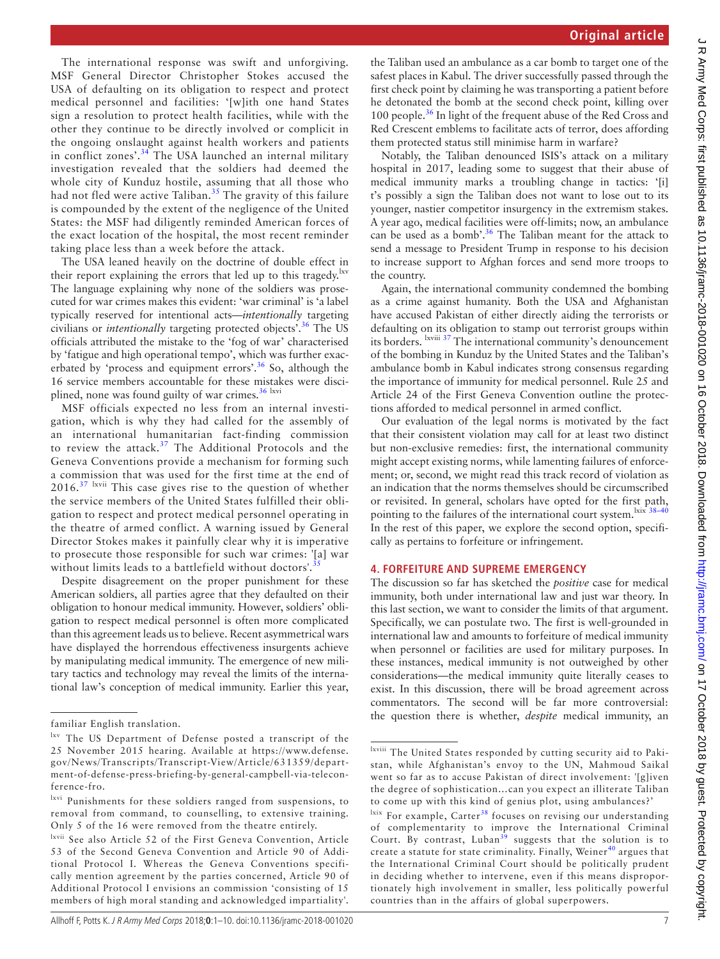The international response was swift and unforgiving. MSF General Director Christopher Stokes accused the USA of defaulting on its obligation to respect and protect medical personnel and facilities: '[w]ith one hand States sign a resolution to protect health facilities, while with the other they continue to be directly involved or complicit in the ongoing onslaught against health workers and patients in conflict zones'. $34$  The USA launched an internal military investigation revealed that the soldiers had deemed the whole city of Kunduz hostile, assuming that all those who had not fled were active Taliban.<sup>[35](#page-9-35)</sup> The gravity of this failure is compounded by the extent of the negligence of the United States: the MSF had diligently reminded American forces of the exact location of the hospital, the most recent reminder taking place less than a week before the attack.

The USA leaned heavily on the doctrine of double effect in their report explaining the errors that led up to this tragedy.<sup>1xv</sup> The language explaining why none of the soldiers was prosecuted for war crimes makes this evident: 'war criminal' is 'a label typically reserved for intentional acts—*intentionally* targeting civilians or *intentionally* targeting protected objects'.<sup>[36](#page-9-36)</sup> The US officials attributed the mistake to the 'fog of war' characterised by 'fatigue and high operational tempo', which was further exac-erbated by 'process and equipment errors'.<sup>[36](#page-9-36)</sup> So, although the 16 service members accountable for these mistakes were disciplined, none was found guilty of war crimes. $36 \text{ kwi}$ 

MSF officials expected no less from an internal investigation, which is why they had called for the assembly of an international humanitarian fact-finding commission to review the attack.<sup>[37](#page-9-37)</sup> The Additional Protocols and the Geneva Conventions provide a mechanism for forming such a commission that was used for the first time at the end of 2016.<sup>[37](#page-9-37) lxvii</sup> This case gives rise to the question of whether the service members of the United States fulfilled their obligation to respect and protect medical personnel operating in the theatre of armed conflict. A warning issued by General Director Stokes makes it painfully clear why it is imperative to prosecute those responsible for such war crimes: '[a] war without limits leads to a battlefield without doctors'.<sup>3</sup>

Despite disagreement on the proper punishment for these American soldiers, all parties agree that they defaulted on their obligation to honour medical immunity. However, soldiers' obligation to respect medical personnel is often more complicated than this agreement leads us to believe. Recent asymmetrical wars have displayed the horrendous effectiveness insurgents achieve by manipulating medical immunity. The emergence of new military tactics and technology may reveal the limits of the international law's conception of medical immunity. Earlier this year,

the Taliban used an ambulance as a car bomb to target one of the safest places in Kabul. The driver successfully passed through the first check point by claiming he was transporting a patient before he detonated the bomb at the second check point, killing over 100 people.<sup>36</sup> In light of the frequent abuse of the Red Cross and Red Crescent emblems to facilitate acts of terror, does affording them protected status still minimise harm in warfare?

Notably, the Taliban denounced ISIS's attack on a military hospital in 2017, leading some to suggest that their abuse of medical immunity marks a troubling change in tactics: '[i] t's possibly a sign the Taliban does not want to lose out to its younger, nastier competitor insurgency in the extremism stakes. A year ago, medical facilities were off-limits; now, an ambulance can be used as a bomb'.<sup>[36](#page-9-36)</sup> The Taliban meant for the attack to send a message to President Trump in response to his decision to increase support to Afghan forces and send more troops to the country.

Again, the international community condemned the bombing as a crime against humanity. Both the USA and Afghanistan have accused Pakistan of either directly aiding the terrorists or defaulting on its obligation to stamp out terrorist groups within its borders. <sup>Ixviii [37](#page-9-37)</sup> The international community's denouncement of the bombing in Kunduz by the United States and the Taliban's ambulance bomb in Kabul indicates strong consensus regarding the importance of immunity for medical personnel. Rule 25 and Article 24 of the First Geneva Convention outline the protections afforded to medical personnel in armed conflict.

Our evaluation of the legal norms is motivated by the fact that their consistent violation may call for at least two distinct but non-exclusive remedies: first, the international community might accept existing norms, while lamenting failures of enforcement; or, second, we might read this track record of violation as an indication that the norms themselves should be circumscribed or revisited. In general, scholars have opted for the first path, pointing to the failures of the international court system.<sup>kix 38-40</sup> In the rest of this paper, we explore the second option, specifically as pertains to forfeiture or infringement.

### **4. Forfeiture and supreme emergency**

The discussion so far has sketched the *positive* case for medical immunity, both under international law and just war theory. In this last section, we want to consider the limits of that argument. Specifically, we can postulate two. The first is well-grounded in international law and amounts to forfeiture of medical immunity when personnel or facilities are used for military purposes. In these instances, medical immunity is not outweighed by other considerations—the medical immunity quite literally ceases to exist. In this discussion, there will be broad agreement across commentators. The second will be far more controversial: the question there is whether, *despite* medical immunity, an

familiar English translation.

lxv The US Department of Defense posted a transcript of the 25 November 2015 hearing. Available at [https://www.defense.](https://www.defense.gov/News/Transcripts/Transcript-View/Article/631359/department-of-defense-press-briefing-by-general-campbell-via-teleconference-fro) [gov/News/Transcripts/Transcript-View/Article/631359/depart](https://www.defense.gov/News/Transcripts/Transcript-View/Article/631359/department-of-defense-press-briefing-by-general-campbell-via-teleconference-fro)[ment-of-defense-press-briefing-by-general-campbell-via-telecon](https://www.defense.gov/News/Transcripts/Transcript-View/Article/631359/department-of-defense-press-briefing-by-general-campbell-via-teleconference-fro)[ference-fro.](https://www.defense.gov/News/Transcripts/Transcript-View/Article/631359/department-of-defense-press-briefing-by-general-campbell-via-teleconference-fro)

lxvi Punishments for these soldiers ranged from suspensions, to removal from command, to counselling, to extensive training. Only 5 of the 16 were removed from the theatre entirely.

lxvii See also Article 52 of the First Geneva Convention, Article 53 of the Second Geneva Convention and Article 90 of Additional Protocol I. Whereas the Geneva Conventions specifically mention agreement by the parties concerned, Article 90 of Additional Protocol I envisions an commission 'consisting of 15 members of high moral standing and acknowledged impartiality'.

lxviii The United States responded by cutting security aid to Pakistan, while Afghanistan's envoy to the UN, Mahmoud Saikal went so far as to accuse Pakistan of direct involvement: '[g]iven the degree of sophistication…can you expect an illiterate Taliban to come up with this kind of genius plot, using ambulances?'

 $\frac{1}{x}$  For example, Carter<sup>[38](#page-9-38)</sup> focuses on revising our understanding of complementarity to improve the International Criminal Court. By contrast, Luban $39$  suggests that the solution is to create a statute for state criminality. Finally, Weiner $40$  argues that the International Criminal Court should be politically prudent in deciding whether to intervene, even if this means disproportionately high involvement in smaller, less politically powerful countries than in the affairs of global superpowers.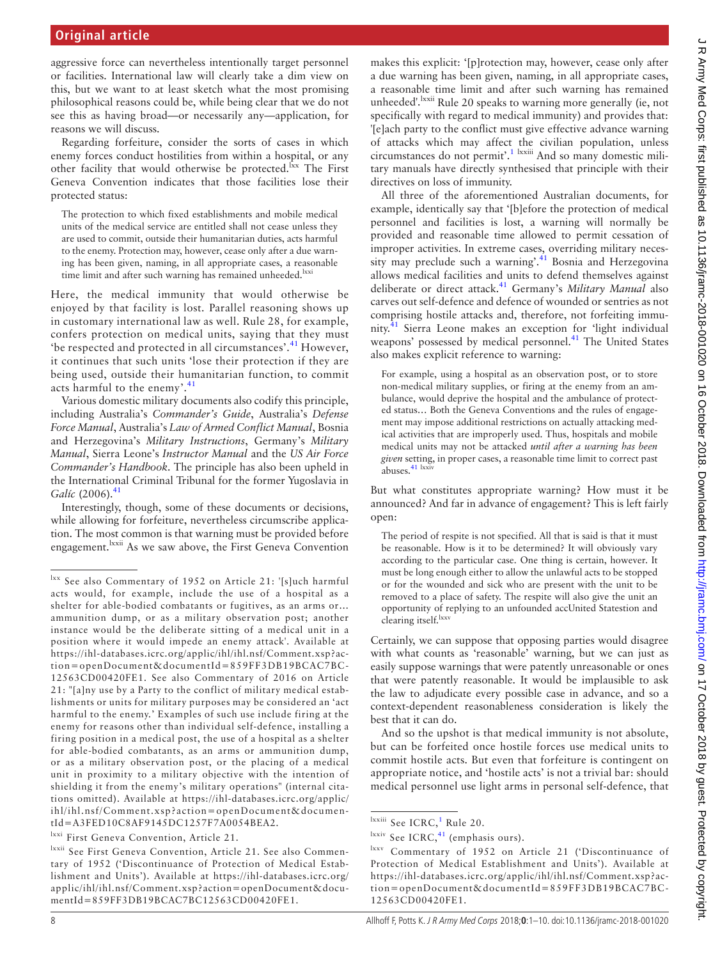aggressive force can nevertheless intentionally target personnel or facilities. International law will clearly take a dim view on this, but we want to at least sketch what the most promising philosophical reasons could be, while being clear that we do not see this as having broad—or necessarily any—application, for reasons we will discuss.

Regarding forfeiture, consider the sorts of cases in which enemy forces conduct hostilities from within a hospital, or any other facility that would otherwise be protected.<sup>Ixx</sup> The First Geneva Convention indicates that those facilities lose their protected status:

The protection to which fixed establishments and mobile medical units of the medical service are entitled shall not cease unless they are used to commit, outside their humanitarian duties, acts harmful to the enemy. Protection may, however, cease only after a due warning has been given, naming, in all appropriate cases, a reasonable time limit and after such warning has remained unheeded.<sup>lxxi</sup>

Here, the medical immunity that would otherwise be enjoyed by that facility is lost. Parallel reasoning shows up in customary international law as well. Rule 28, for example, confers protection on medical units, saying that they must 'be respected and protected in all circumstances'.[41](#page-9-41) However, it continues that such units 'lose their protection if they are being used, outside their humanitarian function, to commit acts harmful to the enemy'.<sup>[41](#page-9-41)</sup>

Various domestic military documents also codify this principle, including Australia's *Commander's Guide*, Australia's *Defense Force Manual*, Australia's *Law of Armed Conflict Manual*, Bosnia and Herzegovina's *Military Instructions*, Germany's *Military Manual*, Sierra Leone's *Instructor Manual* and the *US Air Force Commander's Handbook*. The principle has also been upheld in the International Criminal Tribunal for the former Yugoslavia in *Galíc* (2006).<sup>[41](#page-9-41)</sup>

Interestingly, though, some of these documents or decisions, while allowing for forfeiture, nevertheless circumscribe application. The most common is that warning must be provided before engagement.<sup>lxxii</sup> As we saw above, the First Geneva Convention

makes this explicit: '[p]rotection may, however, cease only after a due warning has been given, naming, in all appropriate cases, a reasonable time limit and after such warning has remained unheeded'.<sup>lxxii</sup> Rule 20 speaks to warning more generally (ie, not specifically with regard to medical immunity) and provides that: '[e]ach party to the conflict must give effective advance warning of attacks which may affect the civilian population, unless circumstances do not permit'.<sup>[1](#page-9-0)</sup> lxxiii</sup> And so many domestic military manuals have directly synthesised that principle with their directives on loss of immunity.

All three of the aforementioned Australian documents, for example, identically say that '[b]efore the protection of medical personnel and facilities is lost, a warning will normally be provided and reasonable time allowed to permit cessation of improper activities. In extreme cases, overriding military necessity may preclude such a warning'.<sup>41</sup> Bosnia and Herzegovina allows medical facilities and units to defend themselves against deliberate or direct attack[.41](#page-9-41) Germany's *Military Manual* also carves out self-defence and defence of wounded or sentries as not comprising hostile attacks and, therefore, not forfeiting immunity.<sup>41</sup> Sierra Leone makes an exception for 'light individual weapons' possessed by medical personnel.<sup>[41](#page-9-41)</sup> The United States also makes explicit reference to warning:

For example, using a hospital as an observation post, or to store non-medical military supplies, or firing at the enemy from an ambulance, would deprive the hospital and the ambulance of protected status… Both the Geneva Conventions and the rules of engagement may impose additional restrictions on actually attacking medical activities that are improperly used. Thus, hospitals and mobile medical units may not be attacked *until after a warning has been given* setting, in proper cases, a reasonable time limit to correct past abuses.<sup>[41](#page-9-41)</sup> lxxi

But what constitutes appropriate warning? How must it be announced? And far in advance of engagement? This is left fairly open:

The period of respite is not specified. All that is said is that it must be reasonable. How is it to be determined? It will obviously vary according to the particular case. One thing is certain, however. It must be long enough either to allow the unlawful acts to be stopped or for the wounded and sick who are present with the unit to be removed to a place of safety. The respite will also give the unit an opportunity of replying to an unfounded accUnited Statestion and clearing itself. $\frac{dx}{dx}$ 

Certainly, we can suppose that opposing parties would disagree with what counts as 'reasonable' warning, but we can just as easily suppose warnings that were patently unreasonable or ones that were patently reasonable. It would be implausible to ask the law to adjudicate every possible case in advance, and so a context-dependent reasonableness consideration is likely the best that it can do.

And so the upshot is that medical immunity is not absolute, but can be forfeited once hostile forces use medical units to commit hostile acts. But even that forfeiture is contingent on appropriate notice, and 'hostile acts' is not a trivial bar: should medical personnel use light arms in personal self-defence, that

lxx See also Commentary of 1952 on Article 21: '[s]uch harmful acts would, for example, include the use of a hospital as a shelter for able-bodied combatants or fugitives, as an arms or… ammunition dump, or as a military observation post; another instance would be the deliberate sitting of a medical unit in a position where it would impede an enemy attack'. Available at [https://ihl-databases.icrc.org/applic/ihl/ihl.nsf/Comment.xsp?ac](https://ihl-databases.icrc.org/applic/ihl/ihl.nsf/Comment.xsp?action=openDocument&documentId=859FF3DB19BCAC7BC12563CD00420FE1)[tion=openDocument&documentId=859FF3DB19BCAC7BC-](https://ihl-databases.icrc.org/applic/ihl/ihl.nsf/Comment.xsp?action=openDocument&documentId=859FF3DB19BCAC7BC12563CD00420FE1)[12563CD00420FE1](https://ihl-databases.icrc.org/applic/ihl/ihl.nsf/Comment.xsp?action=openDocument&documentId=859FF3DB19BCAC7BC12563CD00420FE1). See also Commentary of 2016 on Article 21: "[a]ny use by a Party to the conflict of military medical establishments or units for military purposes may be considered an 'act harmful to the enemy.' Examples of such use include firing at the enemy for reasons other than individual self-defence, installing a firing position in a medical post, the use of a hospital as a shelter for able-bodied combatants, as an arms or ammunition dump, or as a military observation post, or the placing of a medical unit in proximity to a military objective with the intention of shielding it from the enemy's military operations" (internal citations omitted). Available at [https://ihl-databases.icrc.org/applic/](https://ihl-databases.icrc.org/applic/ihl/ihl.nsf/Comment.xsp?action=openDocument&documentId=A3FED10C8AF9145DC1257F7A0054BEA2) [ihl/ihl.nsf/Comment.xsp?action=openDocument&documen](https://ihl-databases.icrc.org/applic/ihl/ihl.nsf/Comment.xsp?action=openDocument&documentId=A3FED10C8AF9145DC1257F7A0054BEA2)[tId=A3FED10C8AF9145DC1257F7A0054BEA2](https://ihl-databases.icrc.org/applic/ihl/ihl.nsf/Comment.xsp?action=openDocument&documentId=A3FED10C8AF9145DC1257F7A0054BEA2).

lxxi First Geneva Convention, Article 21.

lxxii See First Geneva Convention, Article 21. See also Commentary of 1952 ('Discontinuance of Protection of Medical Establishment and Units'). Available at [https://ihl-databases.icrc.org/](https://ihl-databases.icrc.org/applic/ihl/ihl.nsf/Comment.xsp?action=openDocument&documentId=859FF3DB19BCAC7BC12563CD00420FE1) [applic/ihl/ihl.nsf/Comment.xsp?action=openDocument&docu](https://ihl-databases.icrc.org/applic/ihl/ihl.nsf/Comment.xsp?action=openDocument&documentId=859FF3DB19BCAC7BC12563CD00420FE1)[mentId=859FF3DB19BCAC7BC12563CD00420FE1.](https://ihl-databases.icrc.org/applic/ihl/ihl.nsf/Comment.xsp?action=openDocument&documentId=859FF3DB19BCAC7BC12563CD00420FE1)

<sup>&</sup>lt;sup>lxxiii</sup> See ICRC,<sup>[1](#page-9-0)</sup> Rule 20.

 $lxxiv$  See ICRC,<sup>41</sup> (emphasis ours).

lxxv Commentary of 1952 on Article 21 ('Discontinuance of Protection of Medical Establishment and Units'). Available at [https://ihl-databases.icrc.org/applic/ihl/ihl.nsf/Comment.xsp?ac](https://ihl-databases.icrc.org/applic/ihl/ihl.nsf/Comment.xsp?action=openDocument&documentId=859FF3DB19BCAC7BC12563CD00420FE1)[tion=openDocument&documentId=859FF3DB19BCAC7BC-](https://ihl-databases.icrc.org/applic/ihl/ihl.nsf/Comment.xsp?action=openDocument&documentId=859FF3DB19BCAC7BC12563CD00420FE1)[12563CD00420FE1.](https://ihl-databases.icrc.org/applic/ihl/ihl.nsf/Comment.xsp?action=openDocument&documentId=859FF3DB19BCAC7BC12563CD00420FE1)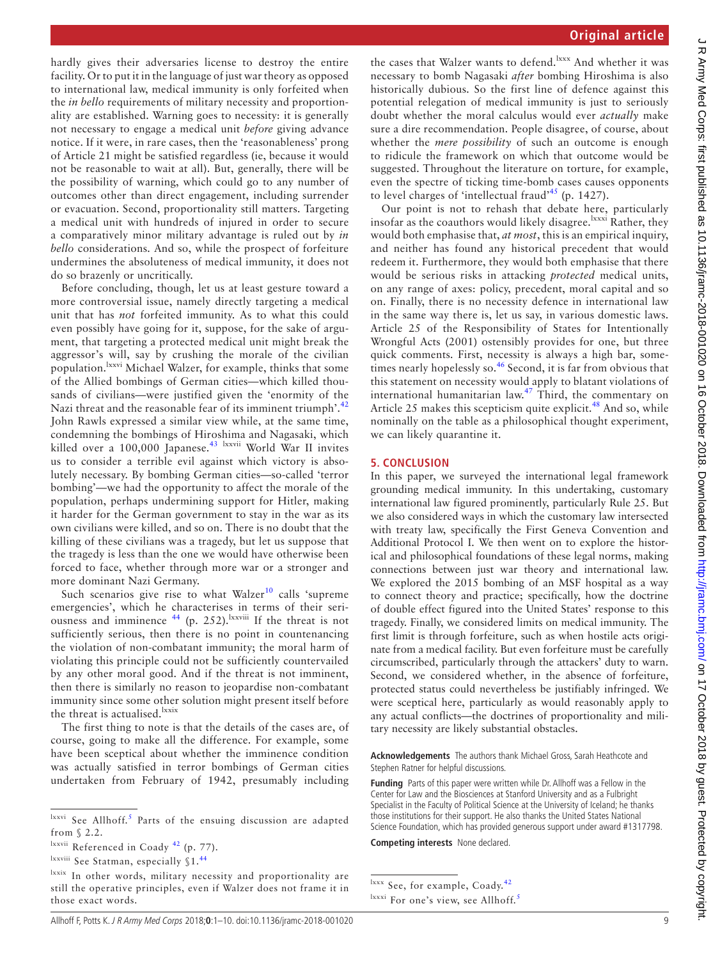hardly gives their adversaries license to destroy the entire facility. Or to put it in the language of just war theory as opposed to international law, medical immunity is only forfeited when the *in bello* requirements of military necessity and proportionality are established. Warning goes to necessity: it is generally not necessary to engage a medical unit *before* giving advance notice. If it were, in rare cases, then the 'reasonableness' prong of Article 21 might be satisfied regardless (ie, because it would not be reasonable to wait at all). But, generally, there will be the possibility of warning, which could go to any number of outcomes other than direct engagement, including surrender or evacuation. Second, proportionality still matters. Targeting a medical unit with hundreds of injured in order to secure a comparatively minor military advantage is ruled out by *in bello* considerations. And so, while the prospect of forfeiture undermines the absoluteness of medical immunity, it does not do so brazenly or uncritically.

Before concluding, though, let us at least gesture toward a more controversial issue, namely directly targeting a medical unit that has *not* forfeited immunity. As to what this could even possibly have going for it, suppose, for the sake of argument, that targeting a protected medical unit might break the aggressor's will, say by crushing the morale of the civilian population.<sup>lxxvi</sup> Michael Walzer, for example, thinks that some of the Allied bombings of German cities—which killed thousands of civilians—were justified given the 'enormity of the Nazi threat and the reasonable fear of its imminent triumph'.<sup>[42](#page-9-42)</sup> John Rawls expressed a similar view while, at the same time, condemning the bombings of Hiroshima and Nagasaki, which killed over a 100,000 Japanese.<sup>[43](#page-9-43) lxxvii</sup> World War II invites us to consider a terrible evil against which victory is absolutely necessary. By bombing German cities—so-called 'terror bombing'—we had the opportunity to affect the morale of the population, perhaps undermining support for Hitler, making it harder for the German government to stay in the war as its own civilians were killed, and so on. There is no doubt that the killing of these civilians was a tragedy, but let us suppose that the tragedy is less than the one we would have otherwise been forced to face, whether through more war or a stronger and more dominant Nazi Germany.

Such scenarios give rise to what Walzer<sup>[10](#page-9-9)</sup> calls 'supreme emergencies', which he characterises in terms of their seriousness and imminence  $44$  (p. 252).<sup>1xxviii</sup> If the threat is not sufficiently serious, then there is no point in countenancing the violation of non-combatant immunity; the moral harm of violating this principle could not be sufficiently countervailed by any other moral good. And if the threat is not imminent, then there is similarly no reason to jeopardise non-combatant immunity since some other solution might present itself before the threat is actualised.<sup>lxxix</sup>

The first thing to note is that the details of the cases are, of course, going to make all the difference. For example, some have been sceptical about whether the imminence condition was actually satisfied in terror bombings of German cities undertaken from February of 1942, presumably including

the cases that Walzer wants to defend.<sup>lxxx</sup> And whether it was necessary to bomb Nagasaki *after* bombing Hiroshima is also historically dubious. So the first line of defence against this potential relegation of medical immunity is just to seriously doubt whether the moral calculus would ever *actually* make sure a dire recommendation. People disagree, of course, about whether the *mere possibility* of such an outcome is enough to ridicule the framework on which that outcome would be suggested. Throughout the literature on torture, for example, even the spectre of ticking time-bomb cases causes opponents to level charges of 'intellectual fraud'<sup>[45](#page-9-45)</sup> (p. 1427).

Our point is not to rehash that debate here, particularly insofar as the coauthors would likely disagree.<sup>lxxxi</sup> Rather, they would both emphasise that, *at most*, this is an empirical inquiry, and neither has found any historical precedent that would redeem it. Furthermore, they would both emphasise that there would be serious risks in attacking *protected* medical units, on any range of axes: policy, precedent, moral capital and so on. Finally, there is no necessity defence in international law in the same way there is, let us say, in various domestic laws. Article 25 of the Responsibility of States for Intentionally Wrongful Acts (2001) ostensibly provides for one, but three quick comments. First, necessity is always a high bar, sometimes nearly hopelessly so.<sup>46</sup> Second, it is far from obvious that this statement on necessity would apply to blatant violations of international humanitarian law.[47](#page-9-47) Third, the commentary on Article 25 makes this scepticism quite explicit.<sup>48</sup> And so, while nominally on the table as a philosophical thought experiment, we can likely quarantine it.

#### **5. Conclusion**

In this paper, we surveyed the international legal framework grounding medical immunity. In this undertaking, customary international law figured prominently, particularly Rule 25. But we also considered ways in which the customary law intersected with treaty law, specifically the First Geneva Convention and Additional Protocol I. We then went on to explore the historical and philosophical foundations of these legal norms, making connections between just war theory and international law. We explored the 2015 bombing of an MSF hospital as a way to connect theory and practice; specifically, how the doctrine of double effect figured into the United States' response to this tragedy. Finally, we considered limits on medical immunity. The first limit is through forfeiture, such as when hostile acts originate from a medical facility. But even forfeiture must be carefully circumscribed, particularly through the attackers' duty to warn. Second, we considered whether, in the absence of forfeiture, protected status could nevertheless be justifiably infringed. We were sceptical here, particularly as would reasonably apply to any actual conflicts—the doctrines of proportionality and military necessity are likely substantial obstacles.

**Acknowledgements** The authors thank Michael Gross, Sarah Heathcote and Stephen Ratner for helpful discussions.

**Funding** Parts of this paper were written while Dr. Allhoff was a Fellow in the Center for Law and the Biosciences at Stanford University and as a Fulbright Specialist in the Faculty of Political Science at the University of Iceland; he thanks those institutions for their support. He also thanks the United States National Science Foundation, which has provided generous support under award #1317798.

**Competing interests** None declared.

<sup>&</sup>lt;sup>lxxvi</sup> See Allhoff.<sup>[5](#page-9-4)</sup> Parts of the ensuing discussion are adapted from § 2.2.

lxxvii Referenced in Coady [42](#page-9-42) (p. 77).

lxxviii See Statman, especially §1.[44](#page-9-44)

lxxix In other words, military necessity and proportionality are still the operative principles, even if Walzer does not frame it in those exact words.

lxxx See, for example, Coady.[42](#page-9-42)

lxxxi For one's view, see Allhoff.<sup>[5](#page-9-4)</sup>